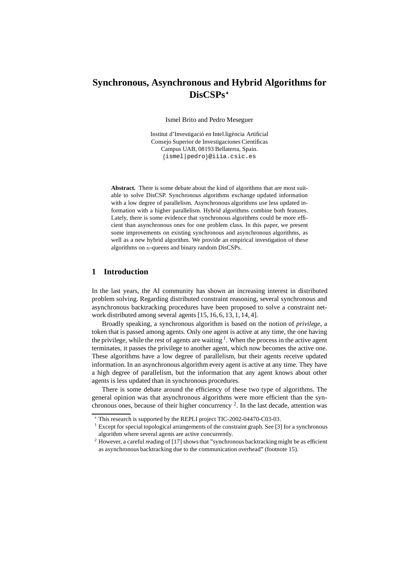# **Synchronous, Asynchronous and Hybrid Algorithms for DisCSPs**?

Ismel Brito and Pedro Meseguer

Institut d'Investigació en Intel.ligència Artificial Consejo Superior de Investigaciones Científicas Campus UAB, 08193 Bellaterra, Spain. <sup>f</sup>ismel|pedrog@iiia.csic.es

**Abstract.** There is some debate about the kind of algorithms that are most suitable to solve DisCSP. Synchronous algorithms exchange updated information with a low degree of parallelism. Asynchronous algorithms use less updated information with a higher parallelism. Hybrid algorithms combine both features. Lately, there is some evidence that synchronous algorithms could be more efficient than asynchronous ones for one problem class. In this paper, we present some improvements on existing synchronous and asynchronous algorithms, as well as a new hybrid algorithm. We provide an empirical investigation of these algorithms on <sup>n</sup>-queens and binary random DisCSPs.

# **1 Introduction**

In the last years, the AI community has shown an increasing interest in distributed problem solving. Regarding distributed constraint reasoning, several synchronous and asynchronous backtracking procedures have been proposed to solve a constraint network distributed among several agents [15, 16, 6, 13, 1, 14, 4].

Broadly speaking, a synchronous algorithm is based on the notion of *privilege*, a token that is passed among agents. Only one agent is active at any time, the one having the privilege, while the rest of agents are waiting  $1$ . When the process in the active agent terminates, it passes the privilege to another agent, which now becomes the active one. These algorithms have a low degree of parallelism, but their agents receive updated information. In an asynchronous algorithm every agent is active at any time. They have a high degree of parallelism, but the information that any agent knows about other agents is less updated than in synchronous procedures.

There is some debate around the efficiency of these two type of algorithms. The general opinion was that asynchronous algorithms were more efficient than the synchronous ones, because of their higher concurrency  $2$ . In the last decade, attention was

<sup>?</sup> This research is supported by the REPLI project TIC-2002-04470-C03-03.

 $1$  Except for special topological arrangements of the constraint graph. See [3] for a synchronous algorithm where several agents are active concurrently.

 $2$  However, a careful reading of [17] shows that "synchronous backtracking might be as efficient as asynchronous backtracking due to the communication overhead" (footnote 15).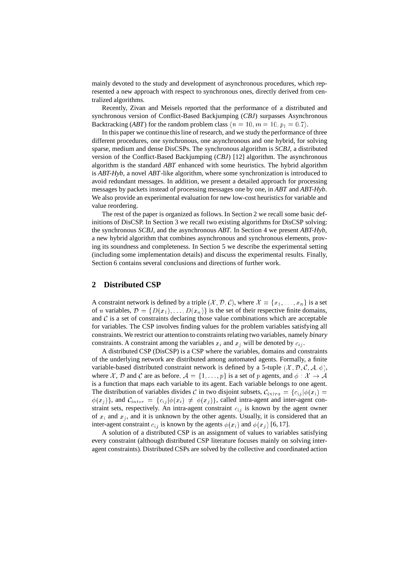mainly devoted to the study and development of asynchronous procedures, which represented a new approach with respect to synchronous ones, directly derived from centralized algorithms.

Recently, Zivan and Meisels reported that the performance of a distributed and synchronous version of Conflict-Based Backjumping (*CBJ*) surpasses Asynchronous Backtracking (*ABT*) for the random problem class  $\langle n = 10, m = 10, p_1 = 0.7 \rangle$ .

In this paper we continue this line of research, and we study the performance of three different procedures, one synchronous, one asynchronous and one hybrid, for solving sparse, medium and dense DisCSPs. The synchronous algorithm is *SCBJ*, a distributed version of the Conflict-Based Backjumping (*CBJ*) [12] algorithm. The asynchronous algorithm is the standard *ABT* enhanced with some heuristics. The hybrid algorithm is *ABT-Hyb*, a novel *ABT*-like algorithm, where some synchronization is introduced to avoid redundant messages. In addition, we present a detailed approach for processing messages by packets instead of processing messages one by one, in *ABT* and *ABT-Hyb*. We also provide an experimental evaluation for new low-cost heuristics for variable and value reordering.

The rest of the paper is organized as follows. In Section 2 we recall some basic definitions of DisCSP. In Section 3 we recall two existing algorithms for DisCSP solving: the synchronous *SCBJ*, and the asynchronous *ABT*. In Section 4 we present *ABT-Hyb*, a new hybrid algorithm that combines asynchronous and synchronous elements, proving its soundness and completeness. In Section 5 we describe the experimental setting (including some implementation details) and discuss the experimental results. Finally, Section 6 contains several conclusions and directions of further work.

# **2 Distributed CSP**

A constraint network is defined by a triple  $(\mathcal{X}, \mathcal{D}, \mathcal{C})$ , where  $\mathcal{X} = \{x_1, \ldots, x_n\}$  is a set of n variables,  $\mathcal{D} = \{D(x_1), \ldots, D(x_n)\}\$ is the set of their respective finite domains, and  $\mathcal C$  is a set of constraints declaring those value combinations which are acceptable for variables. The CSP involves finding values for the problem variables satisfying all constraints. We restrict our attention to constraints relating two variables, namely *binary* constraints. A constraint among the variables  $x_i$  and  $x_j$  will be denoted by  $c_{ij}$ .

A distributed CSP (DisCSP) is a CSP where the variables, domains and constraints of the underlying network are distributed among automated agents. Formally, a finite variable-based distributed constraint network is defined by a 5-tuple  $(\mathcal{X}, \mathcal{D}, \mathcal{C}, \mathcal{A}, \phi)$ , where X, D and C are as before.  $A = \{1, \ldots, p\}$  is a set of p agents, and  $\phi : X \to A$ is a function that maps each variable to its agent. Each variable belongs to one agent. The distribution of variables divides C in two disjoint subsets,  $C_{intra} = \{c_{ij} | \phi(x_i) =$  $\phi(x_i)$ , and  $\mathcal{C}_{inter} = \{c_{ij} | \phi(x_i) \neq \phi(x_i) \}$ , called intra-agent and inter-agent constraint sets, respectively. An intra-agent constraint  $c_{ij}$  is known by the agent owner of  $x_i$  and  $x_j$ , and it is unknown by the other agents. Usually, it is considered that an inter-agent constraint  $c_{ij}$  is known by the agents  $\phi(x_i)$  and  $\phi(x_j)$  [6, 17].

A solution of a distributed CSP is an assignment of values to variables satisfying every constraint (although distributed CSP literature focuses mainly on solving interagent constraints). Distributed CSPs are solved by the collective and coordinated action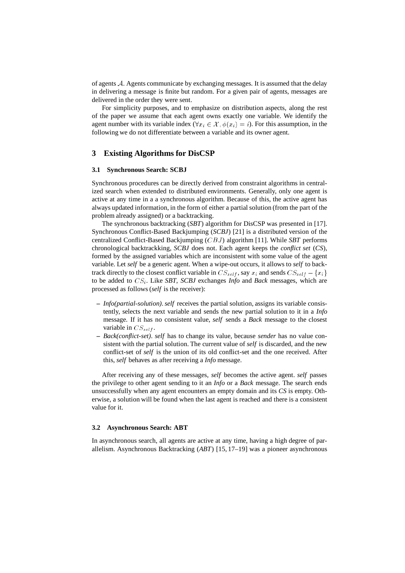of agents <sup>A</sup>. Agents communicate by exchanging messages. It is assumed that the delay in delivering a message is finite but random. For a given pair of agents, messages are delivered in the order they were sent.

For simplicity purposes, and to emphasize on distribution aspects, along the rest of the paper we assume that each agent owns exactly one variable. We identify the agent number with its variable index  $(\forall x_i \in \mathcal{X}, \phi(x_i) = i)$ . For this assumption, in the following we do not differentiate between a variable and its owner agent.

# **3 Existing Algorithms for DisCSP**

### **3.1 Synchronous Search: SCBJ**

Synchronous procedures can be directly derived from constraint algorithms in centralized search when extended to distributed environments. Generally, only one agent is active at any time in a a synchronous algorithm. Because of this, the active agent has always updated information, in the form of either a partial solution (from the part of the problem already assigned) or a backtracking.

The synchronous backtracking (*SBT*) algorithm for DisCSP was presented in [17]. Synchronous Conflict-Based Backjumping (*SCBJ*) [21] is a distributed version of the centralized Conflict-Based Backjumping (CBJ ) algorithm [11]. While *SBT* performs chronological backtrackking, *SCBJ* does not. Each agent keeps the *conflict set* (*CS*), formed by the assigned variables which are inconsistent with some value of the agent variable. Let *self* be a generic agent. When a wipe-out occurs, it allows to *self* to backtrack directly to the closest conflict variable in  $CS_{self}$ , say  $x_i$  and sends  $CS_{self} - \{x_i\}$ to be added to  $CS_i$ . Like *SBT*, *SCBJ* exchanges *Info* and *Back* messages, which are processed as follows (*self* is the receiver):

- **–** *Info(partial-solution)*.*self* receives the partial solution, assigns its variable consistently, selects the next variable and sends the new partial solution to it in a *Info* message. If it has no consistent value, *self* sends a *Back* message to the closest variable in  $CS_{self}$ .
- **–** *Back(conflict-set)*. *self* has to change its value, because *sender* has no value consistent with the partial solution. The current value of *self* is discarded, and the new conflict-set of *self* is the union of its old conflict-set and the one received. After this, *self* behaves as after receiving a *Info* message.

After receiving any of these messages, *self* becomes the active agent. *self* passes the privilege to other agent sending to it an *Info* or a *Back* message. The search ends unsuccessfully when any agent encounters an empty domain and its *CS* is empty. Otherwise, a solution will be found when the last agent is reached and there is a consistent value for it.

## **3.2 Asynchronous Search: ABT**

In asynchronous search, all agents are active at any time, having a high degree of parallelism. Asynchronous Backtracking (*ABT*) [15, 17–19] was a pioneer asynchronous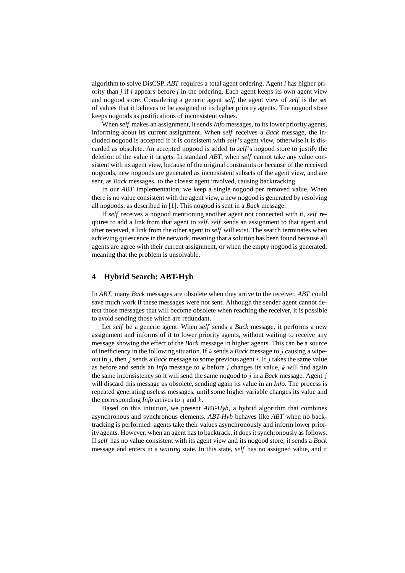algorithm to solve DisCSP. *ABT* requires a total agent ordering. Agent *i* has higher priority than *j* if *i* appears before *j* in the ordering. Each agent keeps its own agent view and nogood store. Considering a generic agent *self*, the agent view of *self* is the set of values that it believes to be assigned to its higher priority agents. The nogood store keeps nogoods as justifications of inconsistent values.

When *self* makes an assignment, it sends *Info* messages, to its lower priority agents, informing about its current assignment. When *self* receives a *Back* message, the included nogood is accepted if it is consistent with *self*'s agent view, otherwise it is discarded as obsolete. An accepted nogood is added to *self*'s nogood store to justify the deletion of the value it targets. In standard *ABT*, when *self* cannot take any value consistent with its agent view, because of the original constraints or because of the received nogoods, new nogoods are generated as inconsistent subsets of the agent view, and are sent, as *Back* messages, to the closest agent involved, causing backtracking.

In our *ABT* implementation, we keep a single nogood per removed value. When there is no value consistent with the agent view, a new nogood is generated by resolving all nogoods, as described in [1]. This nogood is sent in a *Back* message.

If *self* receives a nogood mentioning another agent not connected with it, *self* requires to add a link from that agent to *self*. *self* sends an assignment to that agent and after received, a link from the other agent to *self* will exist. The search terminates when achieving quiescence in the network, meaning that a solution has been found because all agents are agree with their current assignment, or when the empty nogood is generated, meaning that the problem is unsolvable.

# **4 Hybrid Search: ABT-Hyb**

In *ABT*, many *Back* messages are obsolete when they arrive to the receiver. *ABT* could save much work if these messages were not sent. Although the sender agent cannot detect those messages that will become obsolete when reaching the receiver, it is possible to avoid sending those which are redundant.

Let *self* be a generic agent. When *self* sends a *Back* message, it performs a new assignment and informs of it to lower priority agents, without waiting to receive any message showing the effect of the *Back* message in higher agents. This can be a source of inefficiency in the following situation. If <sup>k</sup> sends a *Back* message to <sup>j</sup> causing a wipeout in <sup>j</sup>, then <sup>j</sup> sends a *Back* message to some previous agent <sup>i</sup>. If <sup>j</sup> takes the same value as before and sends an *Info* message to <sup>k</sup> before <sup>i</sup> changes its value, <sup>k</sup> will find again the same inconsistency so it will send the same nogood to <sup>j</sup> in a *Back* message. Agent <sup>j</sup> will discard this message as obsolete, sending again its value in an *Info*. The process is repeated generating useless messages, until some higher variable changes its value and the corresponding *Info* arrives to <sup>j</sup> and <sup>k</sup>.

Based on this intuition, we present *ABT-Hyb*, a hybrid algorithm that combines asynchronous and synchronous elements. *ABT-Hyb* behaves like *ABT* when no backtracking is performed: agents take their values asynchronously and inform lower priority agents. However, when an agent has to backtrack, it does it synchronously as follows. If *self* has no value consistent with its agent view and its nogood store, it sends a *Back* message and enters in a *waiting* state. In this state, *self* has no assigned value, and it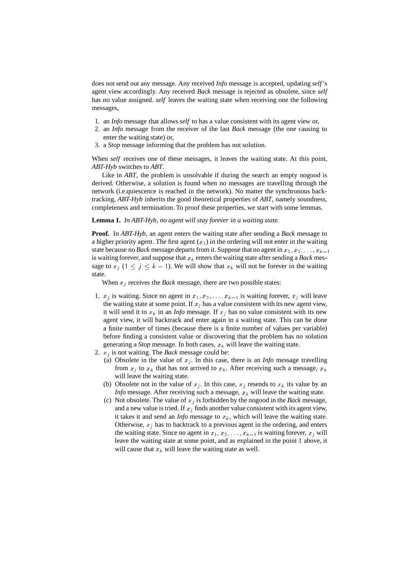does not send out any message. Any received *Info* message is accepted, updating *self*'s agent view accordingly. Any received *Back* message is rejected as obsolete, since *self* has no value assigned. *self* leaves the waiting state when receiving one the following messages,

- 1. an *Info* message that allows *self* to has a value consistent with its agent view or,
- 2. an *Info* message from the receiver of the last *Back* message (the one causing to enter the waiting state) or,
- 3. a *Stop* message informing that the problem has not solution.

When *self* receives one of these messages, it leaves the waiting state. At this point, *ABT-Hyb* switches to *ABT*.

Like in *ABT*, the problem is unsolvable if during the search an empty nogood is derived. Otherwise, a solution is found when no messages are travelling through the network (i.e.quiescence is reached in the network). No matter the synchronous backtracking, *ABT-Hyb* inherits the good theoretical properties of *ABT*, namely soundness, completeness and termination. To proof these properties, we start with some lemmas.

## **Lemma 1.** *In ABT-Hyb, no agent will stay forever in a waiting state.*

**Proof.** In *ABT-Hyb*, an agent enters the waiting state after sending a *Back* message to a higher priority agent. The first agent  $(x_1)$  in the ordering will not enter in the waiting state because no *Back* message departs from it. Suppose that no agent in  $x_1, x_2, \ldots, x_{k-1}$ is waiting forever, and suppose that  $x_k$  enters the waiting state after sending a *Back* message to  $x_j$   $(1 \le j \le k - 1)$ . We will show that  $x_k$  will not be forever in the waiting state.

When  $x_j$  receives the *Back* message, there are two possible states:

- 1.  $x_j$  is waiting. Since no agent in  $x_1, x_2, \ldots, x_{k-1}$  is waiting forever,  $x_j$  will leave the waiting state at some point. If  $x_j$  has a value consistent with its new agent view, it will send it to  $x_k$  in an *Info* message. If  $x_j$  has no value consistent with its new agent view, it will backtrack and enter again in a waiting state. This can be done a finite number of times (because there is a finite number of values per variable) before finding a consistent value or discovering that the problem has no solution generating a *Stop* message. In both cases,  $x_k$  will leave the waiting state.
- 2.  $x_i$  is not waiting. The *Back* message could be:
	- (a) Obsolete in the value of  $x_j$ . In this case, there is an *Info* message travelling from  $x_j$  to  $x_k$  that has not arrived to  $x_k$ . After receiving such a message,  $x_k$ will leave the waiting state.
	- (b) Obsolete not in the value of  $x_j$ . In this case,  $x_j$  resends to  $x_k$  its value by an *Info* message. After receiving such a message,  $x_k$  will leave the waiting state.
	- (c) Not obsolete. The value of  $x_j$  is forbidden by the nogood in the *Back* message, and a new value is tried. If  $x_j$  finds another value consistent with its agent view, it takes it and send an *Info* message to  $x_k$ , which will leave the waiting state. Otherwise,  $x_i$  has to backtrack to a previous agent in the ordering, and enters the waiting state. Since no agent in  $x_1, x_2, \ldots, x_{k-1}$  is waiting forever,  $x_i$  will leave the waiting state at some point, and as explained in the point 1 above, it will cause that  $x_k$  will leave the waiting state as well.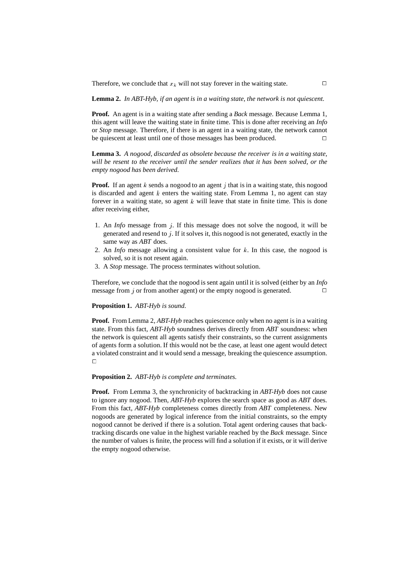Therefore, we conclude that  $x_k$  will not stay forever in the waiting state.

**Lemma 2.** *In ABT-Hyb, if an agent is in a waiting state, the network is not quiescent.*

**Proof.** An agent is in a waiting state after sending a *Back* message. Because Lemma 1, this agent will leave the waiting state in finite time. This is done after receiving an *Info* or *Stop* message. Therefore, if there is an agent in a waiting state, the network cannot be quiescent at least until one of those messages has been produced.  $\Box$ 

**Lemma 3.** *A nogood, discarded as obsolete because the receiver is in a waiting state, will be resent to the receiver until the sender realizes that it has been solved, or the empty nogood has been derived.*

**Proof.** If an agent k sends a nogood to an agent j that is in a waiting state, this nogood is discarded and agent  $k$  enters the waiting state. From Lemma 1, no agent can stay forever in a waiting state, so agent  $k$  will leave that state in finite time. This is done after receiving either,

- 1. An *Info* message from <sup>j</sup>. If this message does not solve the nogood, it will be generated and resend to  $j$ . If it solves it, this nogood is not generated, exactly in the same way as *ABT* does.
- 2. An *Info* message allowing a consistent value for <sup>k</sup>. In this case, the nogood is solved, so it is not resent again.
- 3. A *Stop* message. The process terminates without solution.

Therefore, we conclude that the nogood is sent again until it is solved (either by an *Info* message from j or from another agent) or the empty nogood is generated.  $\Box$ 

#### **Proposition 1.** *ABT-Hyb is sound.*

**Proof.** From Lemma 2, *ABT-Hyb* reaches quiescence only when no agent is in a waiting state. From this fact, *ABT-Hyb* soundness derives directly from *ABT* soundness: when the network is quiescent all agents satisfy their constraints, so the current assignments of agents form a solution. If this would not be the case, at least one agent would detect a violated constraint and it would send a message, breaking the quiescence assumption.  $\Box$ 

## **Proposition 2.** *ABT-Hyb is complete and terminates.*

**Proof.** From Lemma 3, the synchronicity of backtracking in *ABT-Hyb* does not cause to ignore any nogood. Then, *ABT-Hyb* explores the search space as good as *ABT* does. From this fact, *ABT-Hyb* completeness comes directly from *ABT* completeness. New nogoods are generated by logical inference from the initial constraints, so the empty nogood cannot be derived if there is a solution. Total agent ordering causes that backtracking discards one value in the highest variable reached by the *Back* message. Since the number of values is finite, the process will find a solution if it exists, or it will derive the empty nogood otherwise.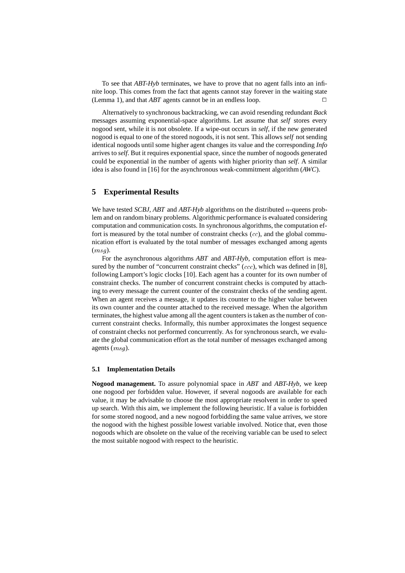To see that *ABT-Hyb* terminates, we have to prove that no agent falls into an infinite loop. This comes from the fact that agents cannot stay forever in the waiting state (Lemma 1), and that *ABT* agents cannot be in an endless loop.

Alternatively to synchronous backtracking, we can avoid resending redundant *Back* messages assuming exponential-space algorithms. Let assume that *self* stores every nogood sent, while it is not obsolete. If a wipe-out occurs in *self*, if the new generated nogood is equal to one of the stored nogoods, it is not sent. This allows *self* not sending identical nogoods until some higher agent changes its value and the corresponding *Info* arrives to *self*. But it requires exponential space, since the number of nogoods generated could be exponential in the number of agents with higher priority than *self*. A similar idea is also found in [16] for the asynchronous weak-commitment algorithm (*AWC*).

# **5 Experimental Results**

We have tested *SCBJ*, *ABT* and *ABT-Hyb* algorithms on the distributed <sup>n</sup>-queens problem and on random binary problems. Algorithmic performance is evaluated considering computation and communication costs. In synchronous algorithms, the computation effort is measured by the total number of constraint checks  $(cc)$ , and the global communication effort is evaluated by the total number of messages exchanged among agents  $(msq).$ 

For the asynchronous algorithms *ABT* and *ABT-Hyb*, computation effort is measured by the number of "concurrent constraint checks" (*ccc*), which was defined in [8], following Lamport's logic clocks [10]. Each agent has a counter for its own number of constraint checks. The number of concurrent constraint checks is computed by attaching to every message the current counter of the constraint checks of the sending agent. When an agent receives a message, it updates its counter to the higher value between its own counter and the counter attached to the received message. When the algorithm terminates, the highest value among all the agent counters is taken as the number of concurrent constraint checks. Informally, this number approximates the longest sequence of constraint checks not performed concurrently. As for synchronous search, we evaluate the global communication effort as the total number of messages exchanged among agents (msg).

## **5.1 Implementation Details**

**Nogood management.** To assure polynomial space in *ABT* and *ABT-Hyb*, we keep one nogood per forbidden value. However, if several nogoods are available for each value, it may be advisable to choose the most appropriate resolvent in order to speed up search. With this aim, we implement the following heuristic. If a value is forbidden for some stored nogood, and a new nogood forbidding the same value arrives, we store the nogood with the highest possible lowest variable involved. Notice that, even those nogoods which are obsolete on the value of the receiving variable can be used to select the most suitable nogood with respect to the heuristic.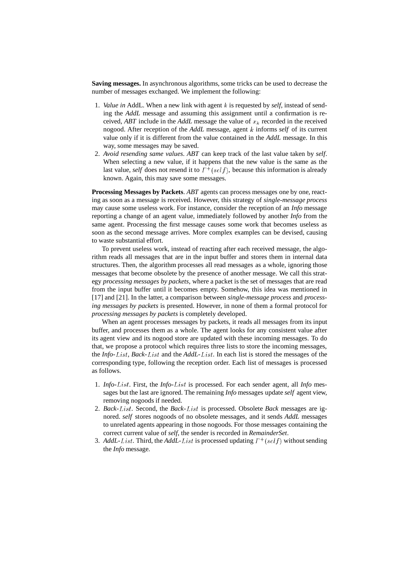**Saving messages.** In asynchronous algorithms, some tricks can be used to decrease the number of messages exchanged. We implement the following:

- 1. *Value in* AddL. When a new link with agent <sup>k</sup> is requested by *self*, instead of sending the *AddL* message and assuming this assignment until a confirmation is received, *ABT* include in the *AddL* message the value of  $x_k$  recorded in the received nogood. After reception of the *AddL* message, agent <sup>k</sup> informs *self* of its current value only if it is different from the value contained in the *AddL* message. In this way, some messages may be saved.
- 2. *Avoid resending same values*. *ABT* can keep track of the last value taken by *self*. When selecting a new value, if it happens that the new value is the same as the last value, *self* does not resend it to  $\Gamma^+(self)$ , because this information is already known. Again, this may save some messages.

**Processing Messages by Packets**. *ABT* agents can process messages one by one, reacting as soon as a message is received. However, this strategy of *single-message process* may cause some useless work. For instance, consider the reception of an *Info* message reporting a change of an agent value, immediately followed by another *Info* from the same agent. Processing the first message causes some work that becomes useless as soon as the second message arrives. More complex examples can be devised, causing to waste substantial effort.

To prevent useless work, instead of reacting after each received message, the algorithm reads all messages that are in the input buffer and stores them in internal data structures. Then, the algorithm processes all read messages as a whole, ignoring those messages that become obsolete by the presence of another message. We call this strategy *processing messages by packets*, where a packet is the set of messages that are read from the input buffer until it becomes empty. Somehow, this idea was mentioned in [17] and [21]. In the latter, a comparison between *single-message process* and *processing messages by packets* is presented. However, in none of them a formal protocol for *processing messages by packets* is completely developed.

When an agent processes messages by packets, it reads all messages from its input buffer, and processes them as a whole. The agent looks for any consistent value after its agent view and its nogood store are updated with these incoming messages. To do that, we propose a protocol which requires three lists to store the incoming messages, the *Info*-List, *Back*-List and the *AddL*-List. In each list is stored the messages of the corresponding type, following the reception order. Each list of messages is processed as follows.

- 1. *Info*-List. First, the *Info*-List is processed. For each sender agent, all *Info* messages but the last are ignored. The remaining *Info* messages update *self* agent view, removing nogoods if needed.
- 2. *Back*-List. Second, the *Back*-List is processed. Obsolete *Back* messages are ignored. *self* stores nogoods of no obsolete messages, and it sends *AddL* messages to unrelated agents appearing in those nogoods. For those messages containing the correct current value of *self*, the sender is recorded in *RemainderSet*.
- 3. *AddL-List*. Third, the *AddL-List* is processed updating  $\Gamma^+(self)$  without sending the *Info* message.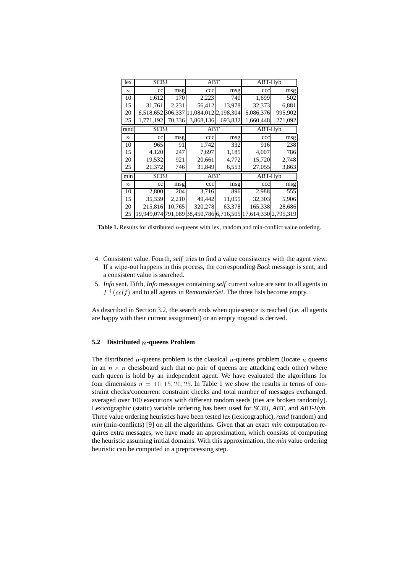| lex              | SCBJ        |        | ABT                                                          |         | ABT-Hyb   |         |  |
|------------------|-------------|--------|--------------------------------------------------------------|---------|-----------|---------|--|
| $\boldsymbol{n}$ | $_{\rm cc}$ | msg    | ccc                                                          | msg     | ccc       | msg     |  |
| 10               | 1,612       | 170    | 2,223                                                        | 740     | 1,699     | 502     |  |
| 15               | 31.761      | 2,231  | 56,412                                                       | 13,978  | 32,373    | 6,881   |  |
| 20               |             |        | 6,518,652 306,337 11,084,012 2,198,304                       |         | 6,086,376 | 995,902 |  |
| 25               | 1,771,192   | 70,336 | 3,868,136                                                    | 693,832 | 1,660,448 | 271,092 |  |
| rand             | <b>SCBJ</b> |        | ABT                                                          |         | ABT-Hyb   |         |  |
| $\boldsymbol{n}$ | $_{\rm cc}$ | msg    | ccc                                                          | msg     | ccc       | msg     |  |
| 10               | 965         | 91     | 1,742                                                        | 332     | 916       | 238     |  |
| 15               | 4,120       | 247    | 7,697                                                        | 1,185   | 4,007     | 786     |  |
| 20               | 19,532      | 921    | 20,661                                                       | 4,772   | 15,720    | 2,748   |  |
| 25               | 21,372      | 746    | 31,849                                                       | 6,553   | 27,055    | 3,863   |  |
| min              | <b>SCBJ</b> |        | ABT                                                          |         | ABT-Hyb   |         |  |
| $\boldsymbol{n}$ | $_{\rm cc}$ | msg    | ccc                                                          | msg     | ccc       | msg     |  |
| 10               | 2,800       | 204    | 3,716                                                        | 896     | 2,988     | 555     |  |
| 15               | 35,339      | 2,210  | 49,442                                                       | 11,055  | 32,303    | 5,906   |  |
| 20               | 215,816     | 10,765 | 320,278                                                      | 63,378  | 165,338   | 28,686  |  |
| 25               |             |        | 19,949,074 791,089 38,450,786 6,716,505 17,614,330 2,795,319 |         |           |         |  |

Table 1. Results for distributed *n*-queens with lex, random and min-conflict value ordering.

- 4. Consistent value. Fourth, *self* tries to find a value consistency with the agent view. If a wipe-out happens in this process, the corresponding *Back* message is sent, and a consistent value is searched.
- 5. *Info* sent. Fifth, *Info* messages containing *self* current value are sent to all agents in  $\Gamma^+(self)$  and to all agents in *RemainderSet*. The three lists become empty.

As described in Section 3.2, the search ends when quiescence is reached (i.e. all agents are happy with their current assignment) or an empty nogood is derived.

## **5.2 Distributed** <sup>n</sup>**-queens Problem**

The distributed *n*-queens problem is the classical *n*-queens problem (locate *n* queens in an  $n \times n$  chessboard such that no pair of queens are attacking each other) where each queen is hold by an independent agent. We have evaluated the algorithms for four dimensions  $n = 10, 15, 20, 25$ . In Table 1 we show the results in terms of constraint checks/concurrent constraint checks and total number of messages exchanged, averaged over 100 executions with different random seeds (ties are broken randomly). Lexicographic (static) variable ordering has been used for *SCBJ*, *ABT*, and *ABT-Hyb*. Three value ordering heuristics have been tested *lex* (lexicographic),*rand* (random) and *min* (min-conflicts) [9] on all the algorithms. Given that an exact *min* computation requires extra messages, we have made an approximation, which consists of computing the heuristic assuming initial domains. With this approximation, the *min* value ordering heuristic can be computed in a preprocessing step.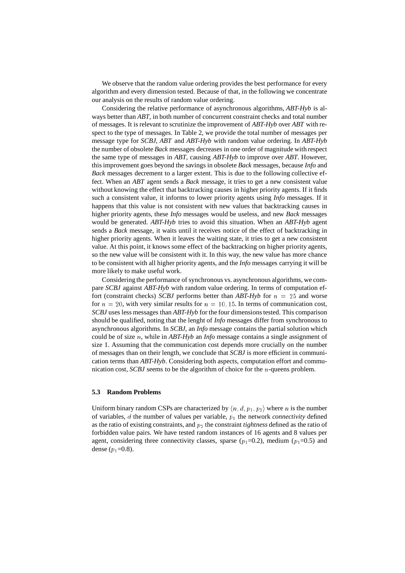We observe that the random value ordering provides the best performance for every algorithm and every dimension tested. Because of that, in the following we concentrate our analysis on the results of random value ordering.

Considering the relative performance of asynchronous algorithms, *ABT-Hyb* is always better than *ABT*, in both number of concurrent constraint checks and total number of messages. It is relevant to scrutinize the improvement of *ABT-Hyb* over *ABT* with respect to the type of messages. In Table 2, we provide the total number of messages per message type for *SCBJ*, *ABT* and *ABT-Hyb* with random value ordering. In *ABT-Hyb* the number of obsolete *Back* messages decreases in one order of magnitude with respect the same type of messages in *ABT*, causing *ABT-Hyb* to improve over *ABT*. However, this improvement goes beyond the savings in obsolete *Back* messages, because *Info* and *Back* messages decrement to a larger extent. This is due to the following collective effect. When an *ABT* agent sends a *Back* message, it tries to get a new consistent value without knowing the effect that backtracking causes in higher priority agents. If it finds such a consistent value, it informs to lower priority agents using *Info* messages. If it happens that this value is not consistent with new values that backtracking causes in higher priority agents, these *Info* messages would be useless, and new *Back* messages would be generated. *ABT-Hyb* tries to avoid this situation. When an *ABT-Hyb* agent sends a *Back* message, it waits until it receives notice of the effect of backtracking in higher priority agents. When it leaves the waiting state, it tries to get a new consistent value. At this point, it knows some effect of the backtracking on higher priority agents, so the new value will be consistent with it. In this way, the new value has more chance to be consistent with all higher priority agents, and the *Info* messages carrying it will be more likely to make useful work.

Considering the performance of synchronous vs. asynchronous algorithms, we compare *SCBJ* against *ABT-Hyb* with random value ordering. In terms of computation effort (constraint checks) *SCBJ* performs better than  $ABT-Hy\bar{b}$  for  $n = 25$  and worse for  $n = 20$ , with very similar results for  $n = 10, 15$ . In terms of communication cost, *SCBJ* uses less messages than *ABT-Hyb* for the four dimensions tested. This comparison should be qualified, noting that the lenght of *Info* messages differ from synchronous to asynchronous algorithms. In *SCBJ*, an *Info* message contains the partial solution which could be of size <sup>n</sup>, while in *ABT-Hyb* an *Info* message contains a single assignment of size 1. Assuming that the communication cost depends more crucially on the number of messages than on their length, we conclude that *SCBJ* is more efficient in communication terms than *ABT-Hyb*. Considering both aspects, computation effort and communication cost, *SCBJ* seems to be the algorithm of choice for the <sup>n</sup>-queens problem.

## **5.3 Random Problems**

Uniform binary random CSPs are characterized by  $\langle n, d, p_1, p_2 \rangle$  where n is the number of variables,  $d$  the number of values per variable,  $p_1$  the network *connectivity* defined as the ratio of existing constraints, and  $p_2$  the constraint *tightness* defined as the ratio of forbidden value pairs. We have tested random instances of 16 agents and 8 values per agent, considering three connectivity classes, sparse  $(p_1=0.2)$ , medium  $(p_1=0.5)$  and dense  $(p_1=0.8)$ .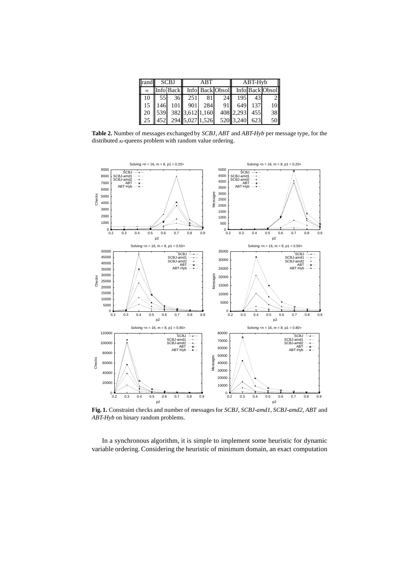| rand | <b>SCBJ</b> |                 |                            | ABT |                                                 | ABT-Hyb   |     |    |  |
|------|-------------|-----------------|----------------------------|-----|-------------------------------------------------|-----------|-----|----|--|
| n    |             |                 |                            |     | Info Back    Info Back Obsol    Info Back Obsol |           |     |    |  |
| 10   | 55          | 36 <sup>1</sup> | 251                        | 81  | 24 I                                            | 195       | 431 |    |  |
| 15   | 146         |                 | 101 901 284                |     | 91 <sup>1</sup>                                 | 649       | 137 | 10 |  |
| 20   |             |                 | $\ 539\ 382\ 3,612\ 1,160$ |     |                                                 | 408 2,293 | 455 | 38 |  |
| 25   | 452         |                 | 294 5,027 1,526            |     |                                                 | 520 3,240 | 623 | 50 |  |

**Table 2.** Number of messages exchanged by *SCBJ*, *ABT* and *ABT-Hyb* per message type, for the distributed <sup>n</sup>-queens problem with random value ordering.



**Fig. 1.** Constraint checks and number of messages for *SCBJ*, *SCBJ-amd1*, *SCBJ-amd2*, *ABT* and *ABT-Hyb* on binary random problems.

In a synchronous algorithm, it is simple to implement some heuristic for dynamic variable ordering. Considering the heuristic of minimum domain, an exact computation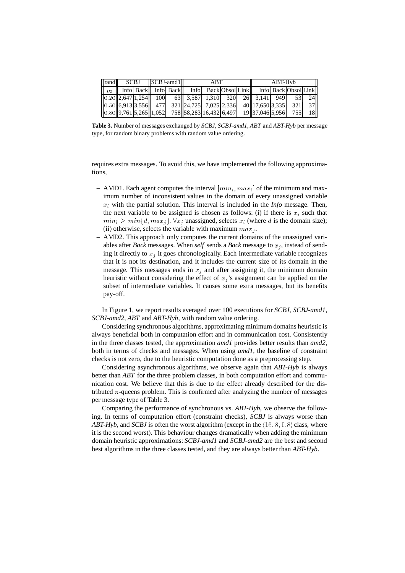| rand | SCBJ SCBJ-amd1 |  | ABT |                                                                                                                        |  |  | ABT-Hyb |                     |  |  |           |
|------|----------------|--|-----|------------------------------------------------------------------------------------------------------------------------|--|--|---------|---------------------|--|--|-----------|
|      |                |  |     | p <sub>2</sub>    Info    Back    Info    Back    Info    Back    Obsol    Link    Info    Back    Obsol    Link       |  |  |         |                     |  |  |           |
|      |                |  |     | $[0.20][2,647]1,254$ 100 63 3,587 1,310 320 26 3,141 949 53 24                                                         |  |  |         |                     |  |  |           |
|      |                |  |     | $\ 0.50\ $ 6,913 3,556 477 321 24,725 7,025 2,336 40 17,650 3,335 321 37                                               |  |  |         |                     |  |  |           |
|      |                |  |     | $\left\  0.80 \right\  9,761 \left\  5,265 \right\  1,052$ 758 $\left\  58,283 \right\  16,432 \left\  6,497 \right\ $ |  |  |         | 19 37,046 5,956 755 |  |  | <b>18</b> |

**Table 3.** Number of messages exchanged by *SCBJ*, *SCBJ-amd1*, *ABT* and *ABT-Hyb* per message type, for random binary problems with random value ordering.

requires extra messages. To avoid this, we have implemented the following approximations,

- **–** AMD1. Each agent computes the interval  $min_i, max_i$  of the minimum and maximum number of inconsistent values in the domain of every unassigned variable  $x_i$  with the partial solution. This interval is included in the *Info* message. Then, the next variable to be assigned is chosen as follows: (i) if there is  $x_i$  such that  $min_i > min{d, max_i}, \forall x_i$  unassigned, selects  $x_i$  (where d is the domain size); (ii) otherwise, selects the variable with maximum  $max_i$ .
- **–** AMD2. This approach only computes the current domains of the unassigned variables after *Back* messages. When *self* sends a *Back* message to  $x_i$ , instead of sending it directly to  $x_i$  it goes chronologically. Each intermediate variable recognizes that it is not its destination, and it includes the current size of its domain in the message. This messages ends in  $x_i$  and after assigning it, the minimum domain heuristic without considering the effect of  $x_j$ 's assignment can be applied on the subset of intermediate variables. It causes some extra messages, but its benefits pay-off.

In Figure 1, we report results averaged over 100 executions for *SCBJ*, *SCBJ-amd1*, *SCBJ-amd2*, *ABT* and *ABT-Hyb*, with random value ordering.

Considering synchronous algorithms, approximating minimum domains heuristic is always beneficial both in computation effort and in communication cost. Consistently in the three classes tested, the approximation *amd1* provides better results than *amd2*, both in terms of checks and messages. When using *amd1*, the baseline of constraint checks is not zero, due to the heuristic computation done as a preprocessing step.

Considering asynchronous algorithms, we observe again that *ABT-Hyb* is always better than *ABT* for the three problem classes, in both computation effort and communication cost. We believe that this is due to the effect already described for the distributed  $n$ -queens problem. This is confirmed after analyzing the number of messages per message type of Table 3.

Comparing the performance of synchronous vs. *ABT-Hyb*, we observe the following. In terms of computation effort (constraint checks), *SCBJ* is always worse than *ABT-Hyb*, and *SCBJ* is often the worst algorithm (except in the  $\langle 16, 8, 0.8 \rangle$  class, where it is the second worst). This behaviour changes dramatically when adding the minimum domain heuristic approximations: *SCBJ-amd1* and *SCBJ-amd2* are the best and second best algorithms in the three classes tested, and they are always better than *ABT-Hyb*.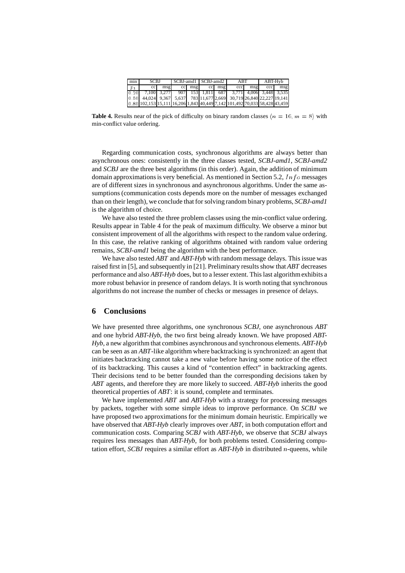| min            | <b>SCBJ</b>                                                                                                              |     | SCBJ-amd1 SCBJ-amd2 |  |               |  | ABT |     | ABT-Hvb |     |
|----------------|--------------------------------------------------------------------------------------------------------------------------|-----|---------------------|--|---------------|--|-----|-----|---------|-----|
| $\mathbb{P}$ 1 | cc                                                                                                                       | msg |                     |  | cc msg cc msg |  | ccc | msg | ccc     | msg |
|                | $[0.20]$ 7,100 3,277 907 153 1,811 687 3,771 4,006 3,448 3,535                                                           |     |                     |  |               |  |     |     |         |     |
|                | $\begin{bmatrix} 0.50 & 44,024 & 9,367 & 5,637 & 783 & 11,677 & 2,669 & 30,719 & 26,840 & 22,227 & 19,141 \end{bmatrix}$ |     |                     |  |               |  |     |     |         |     |
|                | 0.80 102,153 15,111 16,206 1,843 40,449 7,142 101,492 70,033 58,428 43,459                                               |     |                     |  |               |  |     |     |         |     |

**Table 4.** Results near of the pick of difficulty on binary random classes  $\langle n = 16, m = 8 \rangle$  with min-conflict value ordering.

Regarding communication costs, synchronous algorithms are always better than asynchronous ones: consistently in the three classes tested, *SCBJ-amd1*, *SCBJ-amd2* and *SCBJ* are the three best algorithms (in this order). Again, the addition of minimum domain approximations is very beneficial. As mentioned in Section 5.2,  $\ln f$  messages are of different sizes in synchronous and asynchronous algorithms. Under the same assumptions (communication costs depends more on the number of messages exchanged than on their length), we conclude that for solving random binary problems, *SCBJ-amd1* is the algorithm of choice.

We have also tested the three problem classes using the min-conflict value ordering. Results appear in Table 4 for the peak of maximum difficulty. We observe a minor but consistent improvement of all the algorithms with respect to the random value ordering. In this case, the relative ranking of algorithms obtained with random value ordering remains, *SCBJ-amd1* being the algorithm with the best performance.

We have also tested *ABT* and *ABT-Hyb* with random message delays. This issue was raised first in [5], and subsequently in [21]. Preliminary results show that *ABT* decreases performance and also *ABT-Hyb* does, but to a lesser extent. This last algorithm exhibits a more robust behavior in presence of random delays. It is worth noting that synchronous algorithms do not increase the number of checks or messages in presence of delays.

## **6 Conclusions**

We have presented three algorithms, one synchronous *SCBJ*, one asynchronous *ABT* and one hybrid *ABT-Hyb*, the two first being already known. We have proposed *ABT-Hyb*, a new algorithm that combines asynchronous and synchronous elements. *ABT-Hyb* can be seen as an *ABT*-like algorithm where backtracking is synchronized: an agent that initiates backtracking cannot take a new value before having some notice of the effect of its backtracking. This causes a kind of "contention effect" in backtracking agents. Their decisions tend to be better founded than the corresponding decisions taken by *ABT* agents, and therefore they are more likely to succeed. *ABT-Hyb* inherits the good theoretical properties of *ABT*: it is sound, complete and terminates.

We have implemented *ABT* and *ABT-Hyb* with a strategy for processing messages by packets, together with some simple ideas to improve performance. On *SCBJ* we have proposed two approximations for the minimum domain heuristic. Empirically we have observed that *ABT-Hyb* clearly improves over *ABT*, in both computation effort and communication costs. Comparing *SCBJ* with *ABT-Hyb*, we observe that *SCBJ* always requires less messages than *ABT-Hyb*, for both problems tested. Considering computation effort, *SCBJ* requires a similar effort as *ABT-Hyb* in distributed <sup>n</sup>-queens, while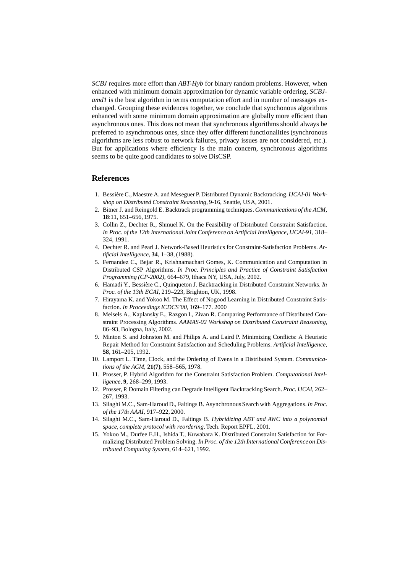*SCBJ* requires more effort than *ABT-Hyb* for binary random problems. However, when enhanced with minimum domain approximation for dynamic variable ordering, *SCBJamd1* is the best algorithm in terms computation effort and in number of messages exchanged. Grouping these evidences together, we conclude that synchonous algorithms enhanced with some minimum domain approximation are globally more efficient than asynchronous ones. This does not mean that synchronous algorithms should always be preferred to asynchronous ones, since they offer different functionalities (synchronous algorithms are less robust to network failures, privacy issues are not considered, etc.). But for applications where efficiency is the main concern, synchronous algorithms seems to be quite good candidates to solve DisCSP.

# **References**

- 1. Bessi`ere C., Maestre A. and Meseguer P. Distributed Dynamic Backtracking.*IJCAI-01 Workshop on Distributed Constraint Reasoning*, 9-16, Seattle, USA, 2001.
- 2. Bitner J. and Reingold E. Backtrack programming techniques. *Communications of the ACM*, **18**:11, 651–656, 1975.
- 3. Collin Z., Dechter R., Shmuel K. On the Feasibility of Distributed Constraint Satisfaction. *In Proc. of the 12th International Joint Conference on Artificial Intelligence, IJCAI-91*, 318– 324, 1991.
- 4. Dechter R. and Pearl J. Network-Based Heuristics for Constraint-Satisfaction Problems. *Artificial Intelligence*, **34**, 1–38, (1988).
- 5. Fernandez C., Bejar R., Krishnamachari Gomes, K. Communication and Computation in Distributed CSP Algorithms. *In Proc. Principles and Practice of Constraint Satisfaction Programming (CP-2002)*, 664–679, Ithaca NY, USA, July, 2002.
- 6. Hamadi Y., Bessière C., Quinqueton J. Backtracking in Distributed Constraint Networks. *In Proc. of the 13th ECAI*, 219–223, Brighton, UK, 1998.
- 7. Hirayama K. and Yokoo M. The Effect of Nogood Learning in Distributed Constraint Satisfaction. *In Proceedings ICDCS'00*, 169–177. 2000
- 8. Meisels A., Kaplansky E., Razgon I., Zivan R. Comparing Performance of Distributed Constraint Processing Algorithms. *AAMAS-02 Workshop on Distributed Constraint Reasoning*, 86–93, Bologna, Italy, 2002.
- 9. Minton S. and Johnston M. and Philips A. and Laird P. Minimizing Conflicts: A Heuristic Repair Method for Constraint Satisfaction and Scheduling Problems. *Artificial Intelligence*, **58**, 161–205, 1992.
- 10. Lamport L. Time, Clock, and the Ordering of Evens in a Distributed System. *Communications of the ACM*, **21(7)**, 558–565, 1978.
- 11. Prosser, P. Hybrid Algorithm for the Constraint Satisfaction Problem. *Computational Intelligence*, **9**, 268–299, 1993.
- 12. Prosser, P. Domain Filtering can Degrade Intelligent Backtracking Search.*Proc. IJCAI*, 262– 267, 1993.
- 13. Silaghi M.C., Sam-Haroud D., Faltings B. Asynchronous Search with Aggregations.*In Proc. of the 17th AAAI*, 917–922, 2000.
- 14. Silaghi M.C., Sam-Haroud D., Faltings B. *Hybridizing ABT and AWC into a polynomial space, complete protocol with reordering*. Tech. Report EPFL, 2001.
- 15. Yokoo M., Durfee E.H., Ishida T., Kuwabara K. Distributed Constraint Satisfaction for Formalizing Distributed Problem Solving. *In Proc. of the 12th International Conference on Distributed Computing System*, 614–621, 1992.